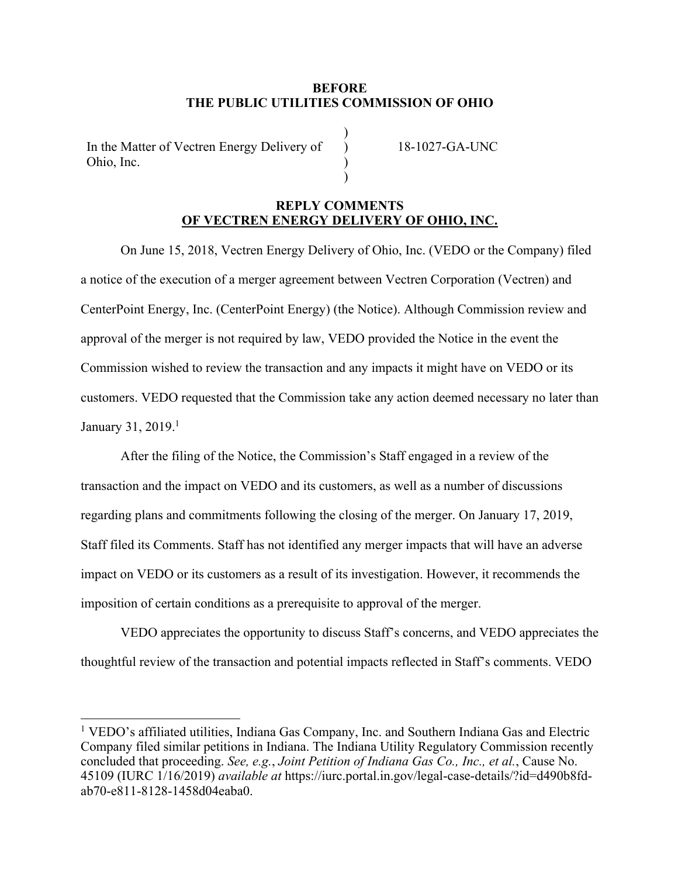## **BEFORE THE PUBLIC UTILITIES COMMISSION OF OHIO**

)  $\lambda$  $\lambda$  $\mathcal{L}$ 

In the Matter of Vectren Energy Delivery of Ohio, Inc.

18-1027-GA-UNC

## **REPLY COMMENTS OF VECTREN ENERGY DELIVERY OF OHIO, INC.**

On June 15, 2018, Vectren Energy Delivery of Ohio, Inc. (VEDO or the Company) filed a notice of the execution of a merger agreement between Vectren Corporation (Vectren) and CenterPoint Energy, Inc. (CenterPoint Energy) (the Notice). Although Commission review and approval of the merger is not required by law, VEDO provided the Notice in the event the Commission wished to review the transaction and any impacts it might have on VEDO or its customers. VEDO requested that the Commission take any action deemed necessary no later than January 31, 2019.1

After the filing of the Notice, the Commission's Staff engaged in a review of the transaction and the impact on VEDO and its customers, as well as a number of discussions regarding plans and commitments following the closing of the merger. On January 17, 2019, Staff filed its Comments. Staff has not identified any merger impacts that will have an adverse impact on VEDO or its customers as a result of its investigation. However, it recommends the imposition of certain conditions as a prerequisite to approval of the merger.

VEDO appreciates the opportunity to discuss Staff's concerns, and VEDO appreciates the thoughtful review of the transaction and potential impacts reflected in Staff's comments. VEDO

 <sup>1</sup> VEDO's affiliated utilities, Indiana Gas Company, Inc. and Southern Indiana Gas and Electric Company filed similar petitions in Indiana. The Indiana Utility Regulatory Commission recently concluded that proceeding. *See, e.g.*, *Joint Petition of Indiana Gas Co., Inc., et al.*, Cause No. 45109 (IURC 1/16/2019) *available at* https://iurc.portal.in.gov/legal-case-details/?id=d490b8fdab70-e811-8128-1458d04eaba0.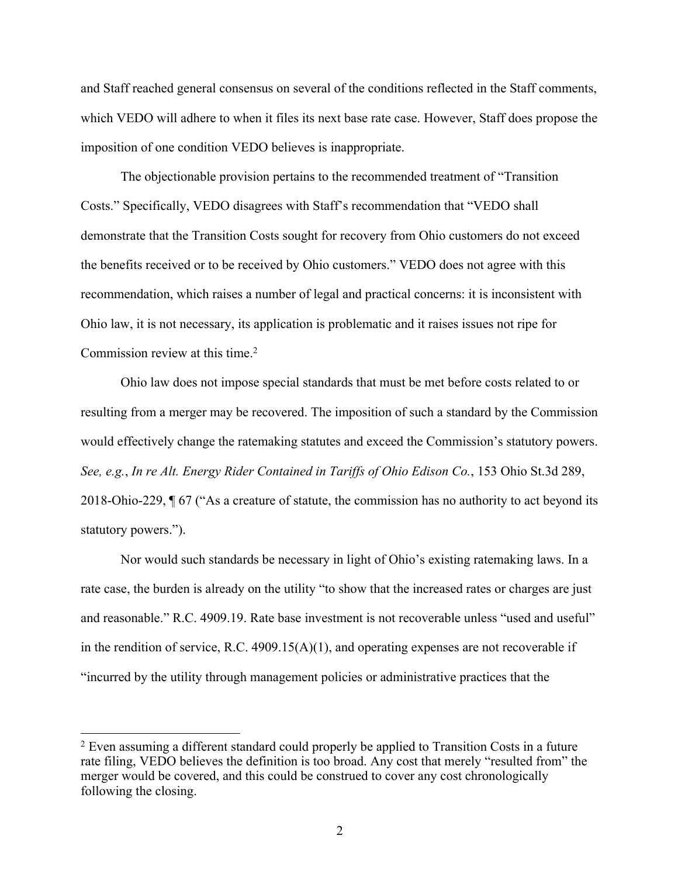and Staff reached general consensus on several of the conditions reflected in the Staff comments, which VEDO will adhere to when it files its next base rate case. However, Staff does propose the imposition of one condition VEDO believes is inappropriate.

The objectionable provision pertains to the recommended treatment of "Transition Costs." Specifically, VEDO disagrees with Staff's recommendation that "VEDO shall demonstrate that the Transition Costs sought for recovery from Ohio customers do not exceed the benefits received or to be received by Ohio customers." VEDO does not agree with this recommendation, which raises a number of legal and practical concerns: it is inconsistent with Ohio law, it is not necessary, its application is problematic and it raises issues not ripe for Commission review at this time. 2

Ohio law does not impose special standards that must be met before costs related to or resulting from a merger may be recovered. The imposition of such a standard by the Commission would effectively change the ratemaking statutes and exceed the Commission's statutory powers. *See, e.g.*, *In re Alt. Energy Rider Contained in Tariffs of Ohio Edison Co.*, 153 Ohio St.3d 289, 2018-Ohio-229, ¶ 67 ("As a creature of statute, the commission has no authority to act beyond its statutory powers.").

Nor would such standards be necessary in light of Ohio's existing ratemaking laws. In a rate case, the burden is already on the utility "to show that the increased rates or charges are just and reasonable." R.C. 4909.19. Rate base investment is not recoverable unless "used and useful" in the rendition of service, R.C.  $4909.15(A)(1)$ , and operating expenses are not recoverable if "incurred by the utility through management policies or administrative practices that the

 $2$  Even assuming a different standard could properly be applied to Transition Costs in a future rate filing, VEDO believes the definition is too broad. Any cost that merely "resulted from" the merger would be covered, and this could be construed to cover any cost chronologically following the closing.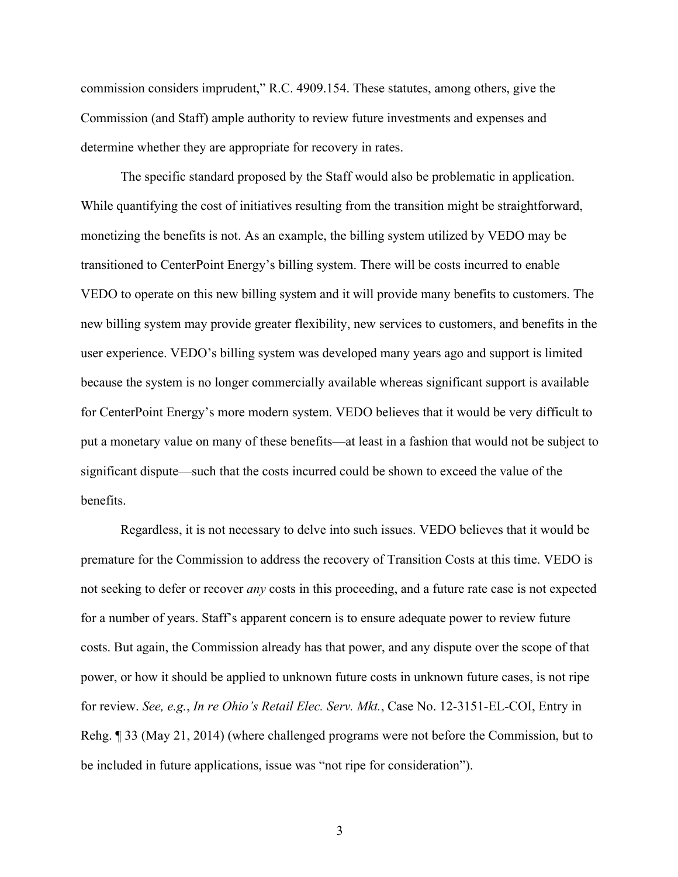commission considers imprudent," R.C. 4909.154. These statutes, among others, give the Commission (and Staff) ample authority to review future investments and expenses and determine whether they are appropriate for recovery in rates.

The specific standard proposed by the Staff would also be problematic in application. While quantifying the cost of initiatives resulting from the transition might be straightforward, monetizing the benefits is not. As an example, the billing system utilized by VEDO may be transitioned to CenterPoint Energy's billing system. There will be costs incurred to enable VEDO to operate on this new billing system and it will provide many benefits to customers. The new billing system may provide greater flexibility, new services to customers, and benefits in the user experience. VEDO's billing system was developed many years ago and support is limited because the system is no longer commercially available whereas significant support is available for CenterPoint Energy's more modern system. VEDO believes that it would be very difficult to put a monetary value on many of these benefits—at least in a fashion that would not be subject to significant dispute—such that the costs incurred could be shown to exceed the value of the benefits.

Regardless, it is not necessary to delve into such issues. VEDO believes that it would be premature for the Commission to address the recovery of Transition Costs at this time. VEDO is not seeking to defer or recover *any* costs in this proceeding, and a future rate case is not expected for a number of years. Staff's apparent concern is to ensure adequate power to review future costs. But again, the Commission already has that power, and any dispute over the scope of that power, or how it should be applied to unknown future costs in unknown future cases, is not ripe for review. *See, e.g.*, *In re Ohio's Retail Elec. Serv. Mkt.*, Case No. 12-3151-EL-COI, Entry in Rehg. ¶ 33 (May 21, 2014) (where challenged programs were not before the Commission, but to be included in future applications, issue was "not ripe for consideration").

3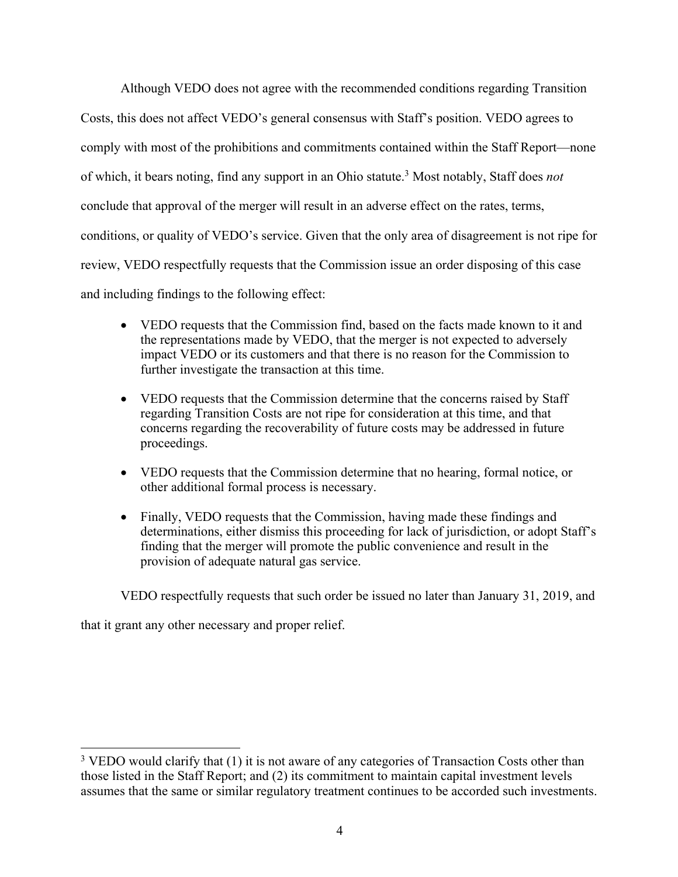Although VEDO does not agree with the recommended conditions regarding Transition Costs, this does not affect VEDO's general consensus with Staff's position. VEDO agrees to comply with most of the prohibitions and commitments contained within the Staff Report—none of which, it bears noting, find any support in an Ohio statute.3 Most notably, Staff does *not* conclude that approval of the merger will result in an adverse effect on the rates, terms, conditions, or quality of VEDO's service. Given that the only area of disagreement is not ripe for review, VEDO respectfully requests that the Commission issue an order disposing of this case and including findings to the following effect:

- VEDO requests that the Commission find, based on the facts made known to it and the representations made by VEDO, that the merger is not expected to adversely impact VEDO or its customers and that there is no reason for the Commission to further investigate the transaction at this time.
- VEDO requests that the Commission determine that the concerns raised by Staff regarding Transition Costs are not ripe for consideration at this time, and that concerns regarding the recoverability of future costs may be addressed in future proceedings.
- VEDO requests that the Commission determine that no hearing, formal notice, or other additional formal process is necessary.
- Finally, VEDO requests that the Commission, having made these findings and determinations, either dismiss this proceeding for lack of jurisdiction, or adopt Staff's finding that the merger will promote the public convenience and result in the provision of adequate natural gas service.

VEDO respectfully requests that such order be issued no later than January 31, 2019, and

that it grant any other necessary and proper relief.

<sup>&</sup>lt;sup>3</sup> VEDO would clarify that (1) it is not aware of any categories of Transaction Costs other than those listed in the Staff Report; and (2) its commitment to maintain capital investment levels assumes that the same or similar regulatory treatment continues to be accorded such investments.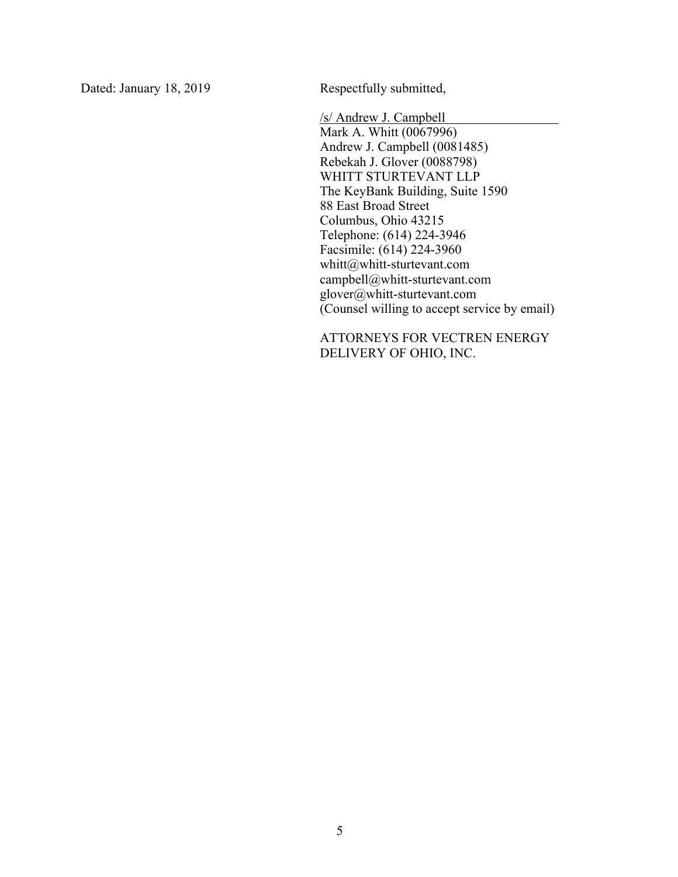Dated: January 18, 2019 Respectfully submitted,

/s/ Andrew J. Campbell Mark A. Whitt (0067996) Andrew J. Campbell (0081485) Rebekah J. Glover (0088798) WHITT STURTEVANT LLP The KeyBank Building, Suite 1590 88 East Broad Street Columbus, Ohio 43215 Telephone: (614) 224-3946 Facsimile: (614) 224-3960 whitt@whitt-sturtevant.com campbell@whitt-sturtevant.com glover@whitt-sturtevant.com (Counsel willing to accept service by email)

ATTORNEYS FOR VECTREN ENERGY DELIVERY OF OHIO, INC.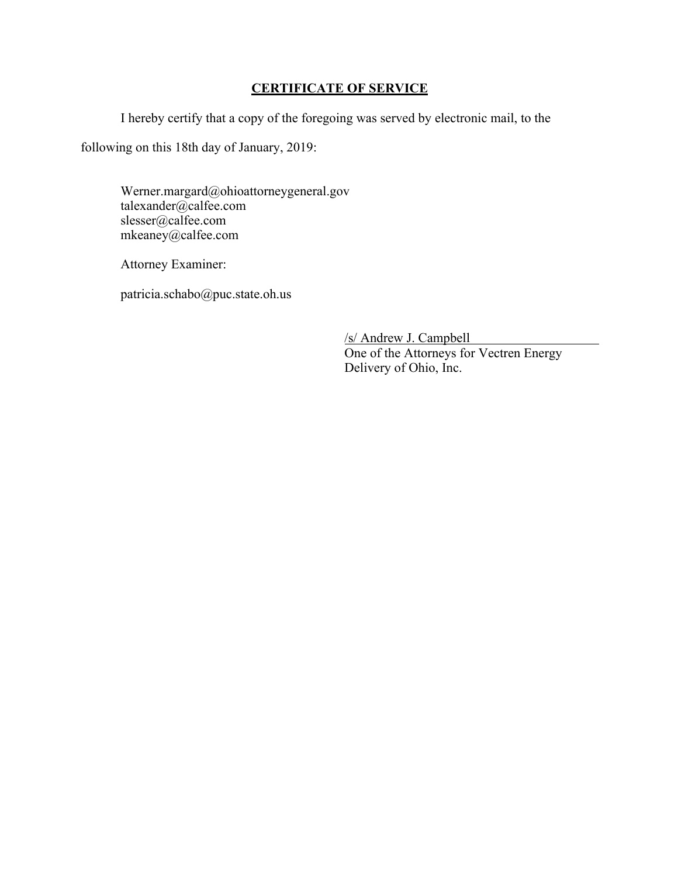## **CERTIFICATE OF SERVICE**

I hereby certify that a copy of the foregoing was served by electronic mail, to the

following on this 18th day of January, 2019:

Werner.margard@ohioattorneygeneral.gov talexander@calfee.com slesser@calfee.com mkeaney@calfee.com

Attorney Examiner:

patricia.schabo@puc.state.oh.us

/s/ Andrew J. Campbell One of the Attorneys for Vectren Energy Delivery of Ohio, Inc.